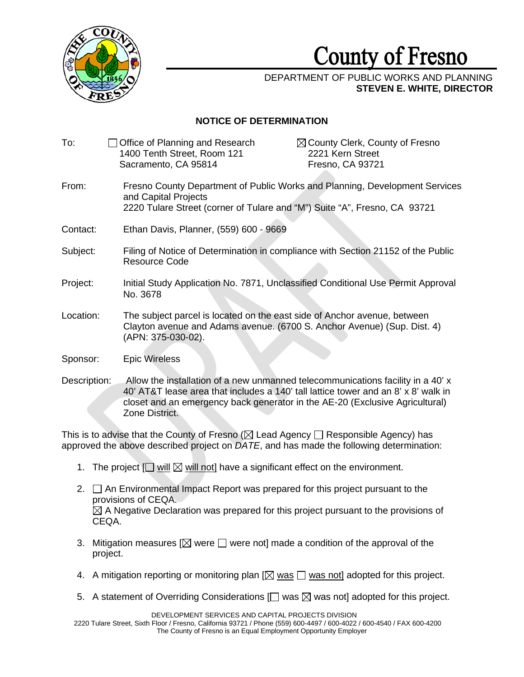

## **County** of **Fresno**

## DEPARTMENT OF PUBLIC WORKS AND PLANNING **STEVEN E. WHITE, DIRECTOR**

## **NOTICE OF DETERMINATION**

| To:          | Office of Planning and Research<br>1400 Tenth Street, Room 121                                                                                                                                                                                        | $\boxtimes$ County Clerk, County of Fresno<br>2221 Kern Street |
|--------------|-------------------------------------------------------------------------------------------------------------------------------------------------------------------------------------------------------------------------------------------------------|----------------------------------------------------------------|
|              | Sacramento, CA 95814                                                                                                                                                                                                                                  | Fresno, CA 93721                                               |
| From:        | Fresno County Department of Public Works and Planning, Development Services<br>and Capital Projects<br>2220 Tulare Street (corner of Tulare and "M") Suite "A", Fresno, CA 93721                                                                      |                                                                |
| Contact:     | Ethan Davis, Planner, (559) 600 - 9669                                                                                                                                                                                                                |                                                                |
| Subject:     | Filing of Notice of Determination in compliance with Section 21152 of the Public<br><b>Resource Code</b>                                                                                                                                              |                                                                |
| Project:     | Initial Study Application No. 7871, Unclassified Conditional Use Permit Approval<br>No. 3678                                                                                                                                                          |                                                                |
| Location:    | The subject parcel is located on the east side of Anchor avenue, between<br>Clayton avenue and Adams avenue. (6700 S. Anchor Avenue) (Sup. Dist. 4)<br>(APN: 375-030-02).                                                                             |                                                                |
| Sponsor:     | <b>Epic Wireless</b>                                                                                                                                                                                                                                  |                                                                |
| Description: | Allow the installation of a new unmanned telecommunications facility in a 40' x<br>40' AT&T lease area that includes a 140' tall lattice tower and an 8' x 8' walk in<br>closet and an emergency back generator in the AE-20 (Exclusive Agricultural) |                                                                |

This is to advise that the County of Fresno ( $\boxtimes$  Lead Agency  $\Box$  Responsible Agency) has approved the above described project on DATE and has made the following determination approved the above described project on *DATE*, and has made the following determination:

1. The project  $[\Box \text{ will } \boxtimes \text{ will not}]$  have a significant effect on the environment.  $\Box$  <u>will</u>  $\boxtimes$  <u>will n</u>

Zone District.

- 2.  $\Box$  An Environmental Impact Report was prepared for this project pursuant to the provisions of CEOA provisions of CEQA.  $\boxtimes$  A Negative Declaration was prepared for this project pursuant to the provisions of CEQA.
- 3. Mitigation measures  $[\boxtimes]$  were  $\Box$  were not] made a condition of the approval of the project project.
- 4. A mitigation reporting or monitoring plan [ $\boxtimes$  was  $\Box$  was not] adopted for this project.  $\boxtimes$  <u>was</u>  $\Box$  <u>was r</u>
- 5. A statement of Overriding Considerations [ $\Box$  was  $\boxtimes$  was not] adopted for this project.

DEVELOPMENT SERVICES AND CAPITAL PROJECTS DIVISION

2220 Tulare Street, Sixth Floor / Fresno, California 93721 / Phone (559) 600-4497 / 600-4022 / 600-4540 / FAX 600-4200 The County of Fresno is an Equal Employment Opportunity Employer